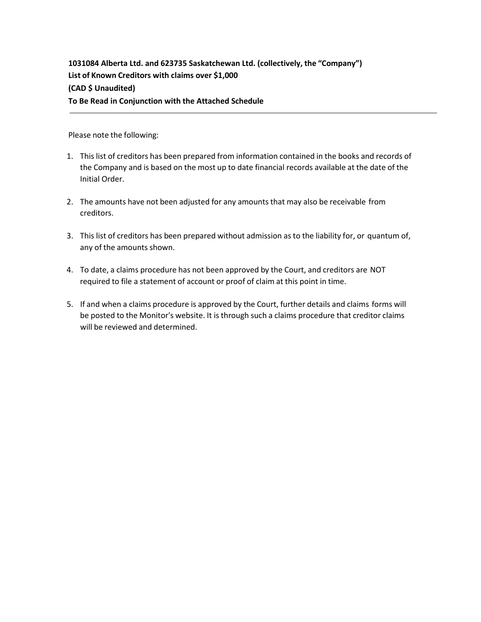**1031084 Alberta Ltd. and 623735 Saskatchewan Ltd. (collectively, the "Company") List of Known Creditors with claims over \$1,000 (CAD \$ Unaudited) To Be Read in Conjunction with the Attached Schedule**

Please note the following:

- 1. This list of creditors has been prepared from information contained in the books and records of the Company and is based on the most up to date financial records available at the date of the Initial Order.
- 2. The amounts have not been adjusted for any amounts that may also be receivable from creditors.
- 3. This list of creditors has been prepared without admission as to the liability for, or quantum of, any of the amounts shown.
- 4. To date, a claims procedure has not been approved by the Court, and creditors are NOT required to file a statement of account or proof of claim at this point in time.
- 5. If and when a claims procedure is approved by the Court, further details and claims forms will be posted to the Monitor's website. It is through such a claims procedure that creditor claims will be reviewed and determined.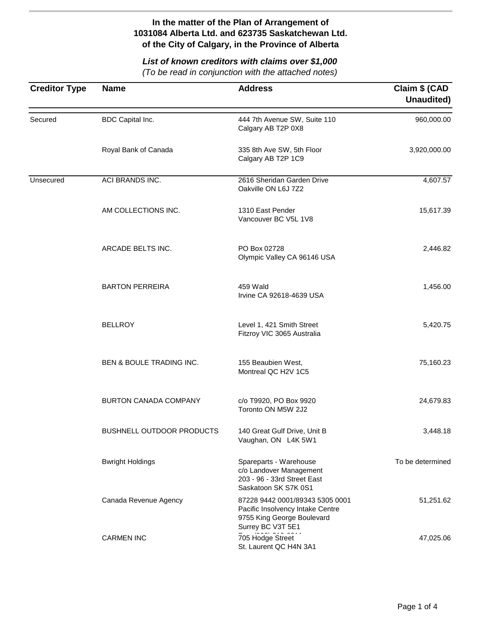# *List of known creditors with claims over \$1,000*

| <b>Creditor Type</b> | <b>Name</b>                  | <b>Address</b>                                                                                                         | Claim \$ (CAD<br>Unaudited) |
|----------------------|------------------------------|------------------------------------------------------------------------------------------------------------------------|-----------------------------|
| Secured              | BDC Capital Inc.             | 444 7th Avenue SW, Suite 110<br>Calgary AB T2P 0X8                                                                     | 960,000.00                  |
|                      | Royal Bank of Canada         | 335 8th Ave SW, 5th Floor<br>Calgary AB T2P 1C9                                                                        | 3,920,000.00                |
| Unsecured            | ACI BRANDS INC.              | 2616 Sheridan Garden Drive<br>Oakville ON L6J 7Z2                                                                      | 4,607.57                    |
|                      | AM COLLECTIONS INC.          | 1310 East Pender<br>Vancouver BC V5L 1V8                                                                               | 15,617.39                   |
|                      | ARCADE BELTS INC.            | PO Box 02728<br>Olympic Valley CA 96146 USA                                                                            | 2,446.82                    |
|                      | <b>BARTON PERREIRA</b>       | 459 Wald<br>Irvine CA 92618-4639 USA                                                                                   | 1,456.00                    |
|                      | <b>BELLROY</b>               | Level 1, 421 Smith Street<br>Fitzroy VIC 3065 Australia                                                                | 5,420.75                    |
|                      | BEN & BOULE TRADING INC.     | 155 Beaubien West,<br>Montreal QC H2V 1C5                                                                              | 75,160.23                   |
|                      | <b>BURTON CANADA COMPANY</b> | c/o T9920, PO Box 9920<br>Toronto ON M5W 2J2                                                                           | 24,679.83                   |
|                      | BUSHNELL OUTDOOR PRODUCTS    | 140 Great Gulf Drive, Unit B<br>Vaughan, ON L4K 5W1                                                                    | 3,448.18                    |
|                      | <b>Bwright Holdings</b>      | Spareparts - Warehouse<br>c/o Landover Management<br>203 - 96 - 33rd Street East<br>Saskatoon SK S7K 0S1               | To be determined            |
|                      | Canada Revenue Agency        | 87228 9442 0001/89343 5305 0001<br>Pacific Insolvency Intake Centre<br>9755 King George Boulevard<br>Surrey BC V3T 5E1 | 51,251.62                   |
|                      | <b>CARMEN INC</b>            | 705 Hodge Street<br>St. Laurent QC H4N 3A1                                                                             | 47,025.06                   |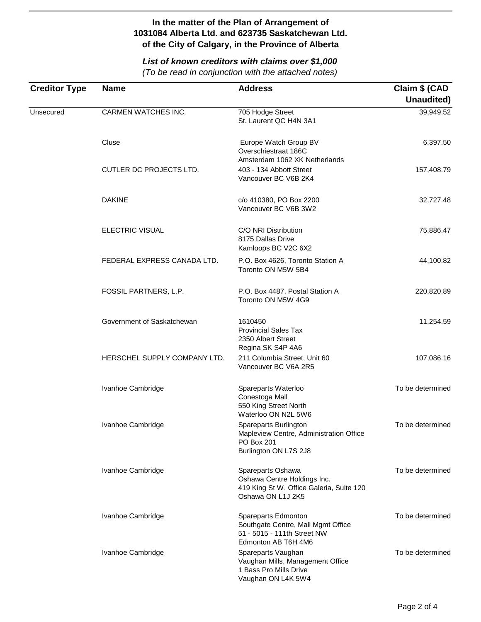# *List of known creditors with claims over \$1,000*

| <b>Creditor Type</b> | <b>Name</b>                  | <b>Address</b>                                                                                                    | Claim \$ (CAD<br>Unaudited) |
|----------------------|------------------------------|-------------------------------------------------------------------------------------------------------------------|-----------------------------|
| Unsecured            | CARMEN WATCHES INC.          | 705 Hodge Street<br>St. Laurent QC H4N 3A1                                                                        | 39,949.52                   |
|                      | Cluse                        | Europe Watch Group BV<br>Overschiestraat 186C<br>Amsterdam 1062 XK Netherlands                                    | 6,397.50                    |
|                      | CUTLER DC PROJECTS LTD.      | 403 - 134 Abbott Street<br>Vancouver BC V6B 2K4                                                                   | 157,408.79                  |
|                      | <b>DAKINE</b>                | c/o 410380, PO Box 2200<br>Vancouver BC V6B 3W2                                                                   | 32,727.48                   |
|                      | <b>ELECTRIC VISUAL</b>       | C/O NRI Distribution<br>8175 Dallas Drive<br>Kamloops BC V2C 6X2                                                  | 75,886.47                   |
|                      | FEDERAL EXPRESS CANADA LTD.  | P.O. Box 4626, Toronto Station A<br>Toronto ON M5W 5B4                                                            | 44,100.82                   |
|                      | FOSSIL PARTNERS, L.P.        | P.O. Box 4487, Postal Station A<br>Toronto ON M5W 4G9                                                             | 220,820.89                  |
|                      | Government of Saskatchewan   | 1610450<br><b>Provincial Sales Tax</b><br>2350 Albert Street<br>Regina SK S4P 4A6                                 | 11,254.59                   |
|                      | HERSCHEL SUPPLY COMPANY LTD. | 211 Columbia Street, Unit 60<br>Vancouver BC V6A 2R5                                                              | 107,086.16                  |
|                      | Ivanhoe Cambridge            | Spareparts Waterloo<br>Conestoga Mall<br>550 King Street North<br>Waterloo ON N2L 5W6                             | To be determined            |
|                      | Ivanhoe Cambridge            | Spareparts Burlington<br>Mapleview Centre, Administration Office<br>PO Box 201<br>Burlington ON L7S 2J8           | To be determined            |
|                      | Ivanhoe Cambridge            | Spareparts Oshawa<br>Oshawa Centre Holdings Inc.<br>419 King St W, Office Galeria, Suite 120<br>Oshawa ON L1J 2K5 | To be determined            |
|                      | Ivanhoe Cambridge            | Spareparts Edmonton<br>Southgate Centre, Mall Mgmt Office<br>51 - 5015 - 111th Street NW<br>Edmonton AB T6H 4M6   | To be determined            |
|                      | Ivanhoe Cambridge            | Spareparts Vaughan<br>Vaughan Mills, Management Office<br>1 Bass Pro Mills Drive<br>Vaughan ON L4K 5W4            | To be determined            |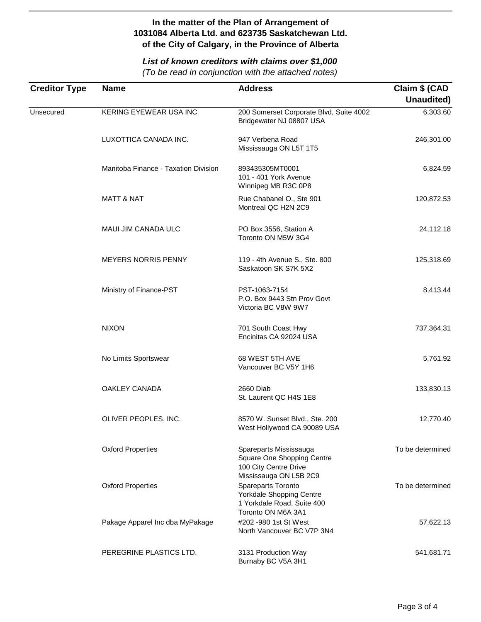## *List of known creditors with claims over \$1,000*

| <b>Creditor Type</b> | <b>Name</b>                          | <b>Address</b>                                                                                          | Claim \$ (CAD<br>Unaudited) |
|----------------------|--------------------------------------|---------------------------------------------------------------------------------------------------------|-----------------------------|
| Unsecured            | KERING EYEWEAR USA INC               | 200 Somerset Corporate Blvd, Suite 4002<br>Bridgewater NJ 08807 USA                                     | 6,303.60                    |
|                      | LUXOTTICA CANADA INC.                | 947 Verbena Road<br>Mississauga ON L5T 1T5                                                              | 246,301.00                  |
|                      | Manitoba Finance - Taxation Division | 893435305MT0001<br>101 - 401 York Avenue<br>Winnipeg MB R3C 0P8                                         | 6,824.59                    |
|                      | <b>MATT &amp; NAT</b>                | Rue Chabanel O., Ste 901<br>Montreal QC H2N 2C9                                                         | 120,872.53                  |
|                      | <b>MAUI JIM CANADA ULC</b>           | PO Box 3556, Station A<br>Toronto ON M5W 3G4                                                            | 24,112.18                   |
|                      | <b>MEYERS NORRIS PENNY</b>           | 119 - 4th Avenue S., Ste. 800<br>Saskatoon SK S7K 5X2                                                   | 125,318.69                  |
|                      | Ministry of Finance-PST              | PST-1063-7154<br>P.O. Box 9443 Stn Prov Govt<br>Victoria BC V8W 9W7                                     | 8,413.44                    |
|                      | <b>NIXON</b>                         | 701 South Coast Hwy<br>Encinitas CA 92024 USA                                                           | 737,364.31                  |
|                      | No Limits Sportswear                 | 68 WEST 5TH AVE<br>Vancouver BC V5Y 1H6                                                                 | 5,761.92                    |
|                      | OAKLEY CANADA                        | 2660 Diab<br>St. Laurent QC H4S 1E8                                                                     | 133,830.13                  |
|                      | OLIVER PEOPLES, INC.                 | 8570 W. Sunset Blvd., Ste. 200<br>West Hollywood CA 90089 USA                                           | 12,770.40                   |
|                      | <b>Oxford Properties</b>             | Spareparts Mississauga<br>Square One Shopping Centre<br>100 City Centre Drive<br>Mississauga ON L5B 2C9 | To be determined            |
|                      | <b>Oxford Properties</b>             | Spareparts Toronto<br>Yorkdale Shopping Centre<br>1 Yorkdale Road, Suite 400<br>Toronto ON M6A 3A1      | To be determined            |
|                      | Pakage Apparel Inc dba MyPakage      | #202 -980 1st St West<br>North Vancouver BC V7P 3N4                                                     | 57,622.13                   |
|                      | PEREGRINE PLASTICS LTD.              | 3131 Production Way<br>Burnaby BC V5A 3H1                                                               | 541,681.71                  |